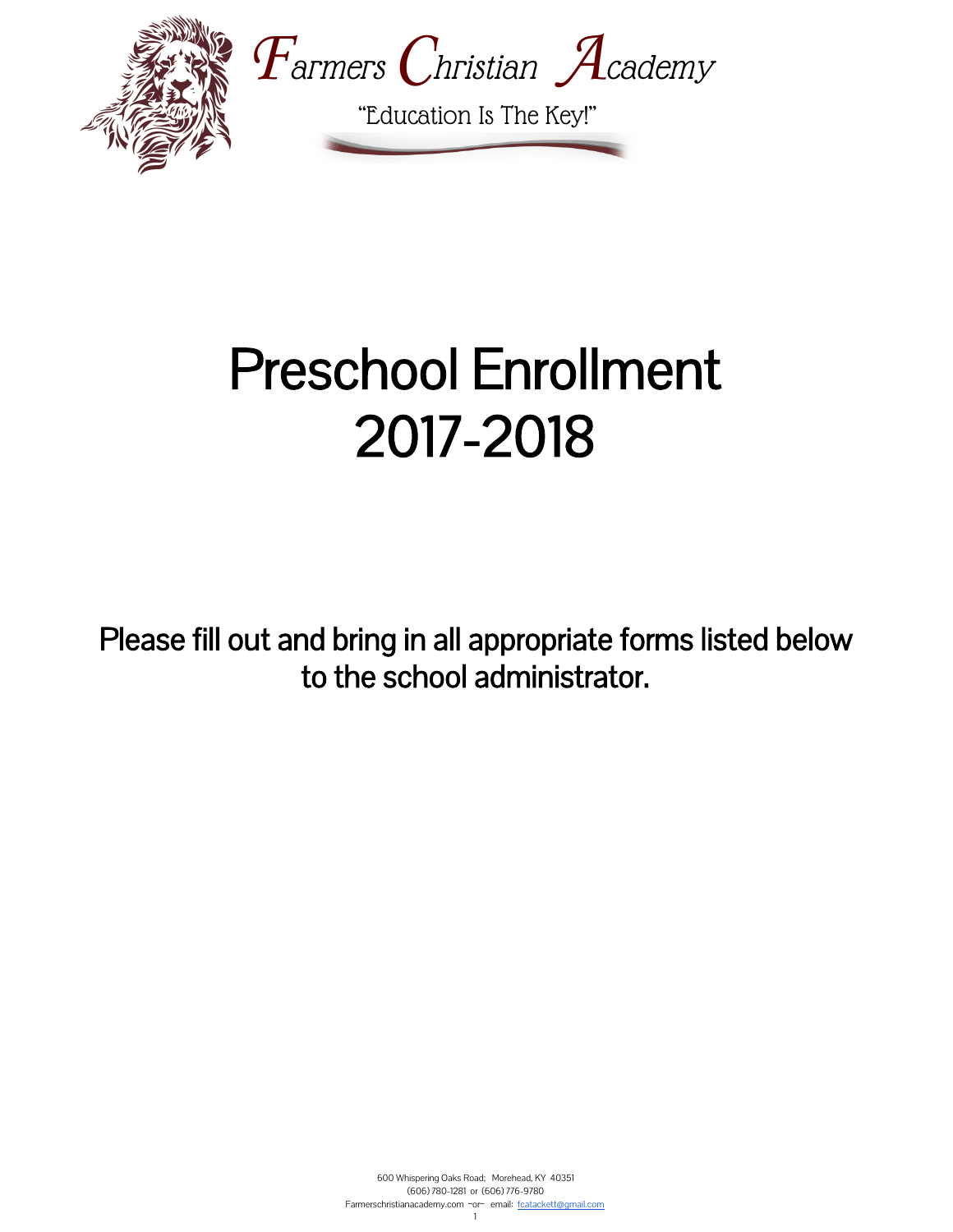

# Preschool Enrollment 2017-2018

Please fill out and bring in all appropriate forms listed below to the school administrator.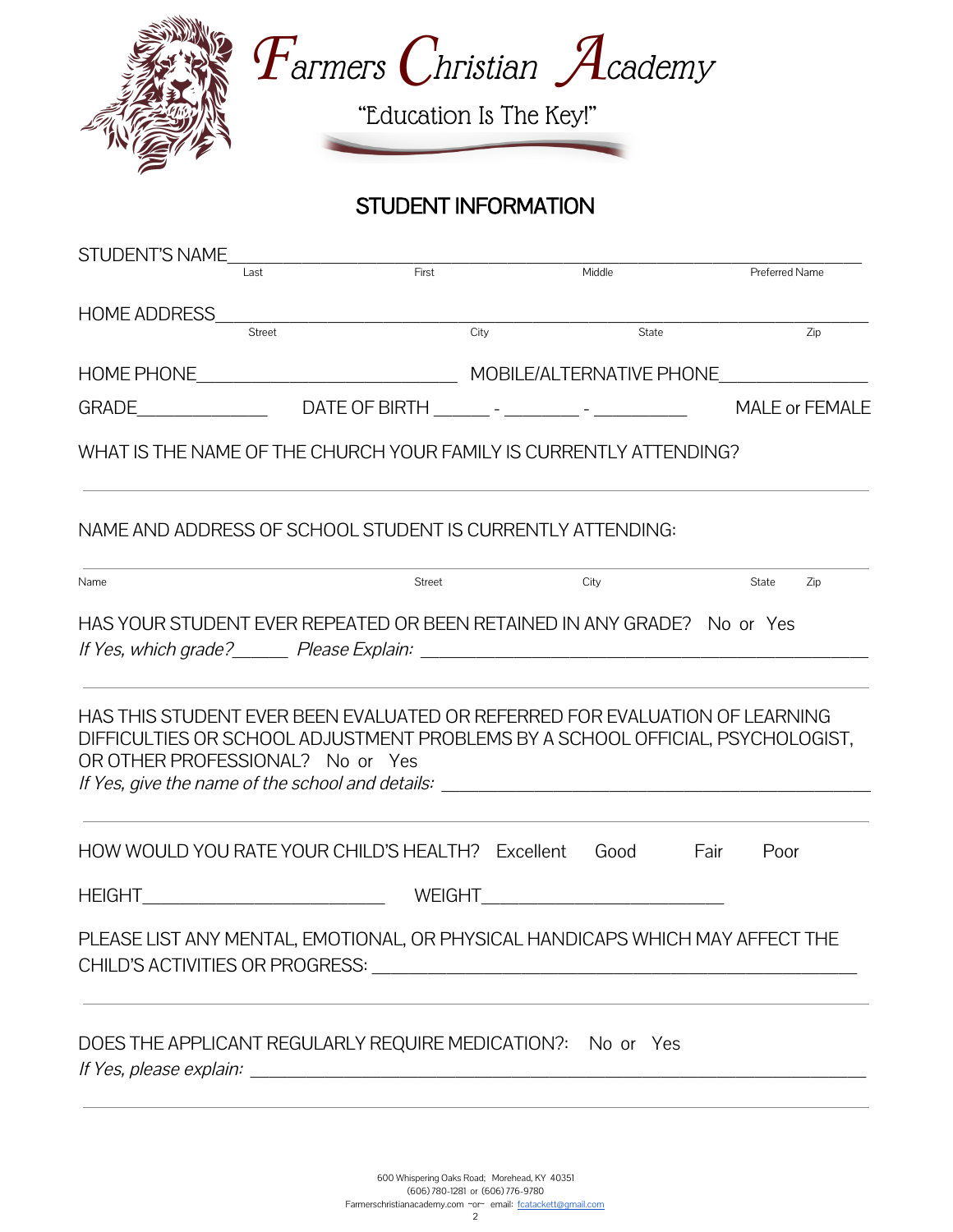

STUDENT INFORMATION

| <b>STUDENT'S NAME</b>                                                                                                                                                                                                                                                        |        |                                    |                  |
|------------------------------------------------------------------------------------------------------------------------------------------------------------------------------------------------------------------------------------------------------------------------------|--------|------------------------------------|------------------|
| Last                                                                                                                                                                                                                                                                         | First  | Middle                             | Preferred Name   |
| <b>HOME ADDRESS</b>                                                                                                                                                                                                                                                          |        |                                    |                  |
| Street                                                                                                                                                                                                                                                                       | City   | State                              | $\overline{Zip}$ |
|                                                                                                                                                                                                                                                                              |        |                                    |                  |
| GRADE____________________________DATE OF BIRTH __________- - ___________________                                                                                                                                                                                             |        |                                    | MALE or FEMALE   |
| WHAT IS THE NAME OF THE CHURCH YOUR FAMILY IS CURRENTLY ATTENDING?                                                                                                                                                                                                           |        |                                    |                  |
| NAME AND ADDRESS OF SCHOOL STUDENT IS CURRENTLY ATTENDING:                                                                                                                                                                                                                   |        |                                    |                  |
| Name                                                                                                                                                                                                                                                                         | Street | City                               | State<br>Zip     |
| HAS YOUR STUDENT EVER REPEATED OR BEEN RETAINED IN ANY GRADE? No or Yes<br>HAS THIS STUDENT EVER BEEN EVALUATED OR REFERRED FOR EVALUATION OF LEARNING<br>DIFFICULTIES OR SCHOOL ADJUSTMENT PROBLEMS BY A SCHOOL OFFICIAL, PSYCHOLOGIST,<br>OR OTHER PROFESSIONAL? No or Yes |        |                                    |                  |
| HOW WOULD YOU RATE YOUR CHILD'S HEALTH? Excellent                                                                                                                                                                                                                            |        | Good                               | Fair<br>Poor     |
| HEIGHT__________________________________                                                                                                                                                                                                                                     |        | WEIGHT____________________________ |                  |
| PLEASE LIST ANY MENTAL, EMOTIONAL, OR PHYSICAL HANDICAPS WHICH MAY AFFECT THE                                                                                                                                                                                                |        |                                    |                  |
| DOES THE APPLICANT REGULARLY REQUIRE MEDICATION?: No or Yes                                                                                                                                                                                                                  |        |                                    |                  |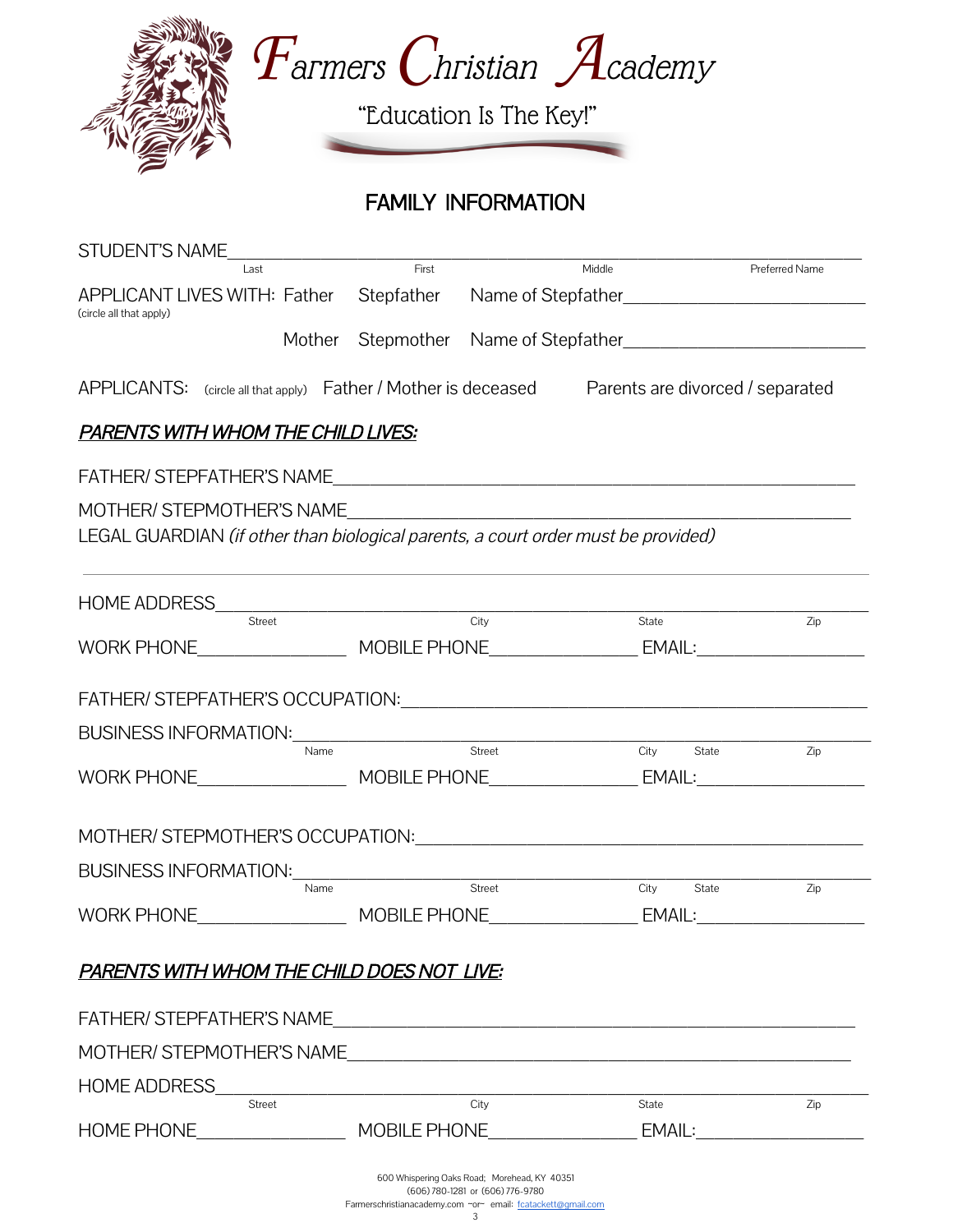



"Education Is The Key!"

## FAMILY INFORMATION

| STUDENT'S NAME<br>Last                                                                                                                                                                                                         |        | First               | Middle                        | Preferred Name                |
|--------------------------------------------------------------------------------------------------------------------------------------------------------------------------------------------------------------------------------|--------|---------------------|-------------------------------|-------------------------------|
| APPLICANT LIVES WITH: Father Stepfather Name of Stepfather______________________<br>(circle all that apply)                                                                                                                    |        |                     |                               |                               |
|                                                                                                                                                                                                                                | Mother |                     | Stepmother Name of Stepfather |                               |
| $APPLICANTS:$ (circle all that apply) Father / Mother is deceased Parents are divorced / separated                                                                                                                             |        |                     |                               |                               |
| <u>PARENTS WITH WHOM THE CHILD LIVES:</u>                                                                                                                                                                                      |        |                     |                               |                               |
| FATHER/STEPFATHER'S NAME                                                                                                                                                                                                       |        |                     |                               |                               |
| MOTHER/ STEPMOTHER'S NAME                                                                                                                                                                                                      |        |                     |                               |                               |
| LEGAL GUARDIAN (if other than biological parents, a court order must be provided)                                                                                                                                              |        |                     |                               |                               |
|                                                                                                                                                                                                                                |        |                     |                               |                               |
| HOME ADDRESS                                                                                                                                                                                                                   |        |                     |                               |                               |
| <b>Street</b>                                                                                                                                                                                                                  |        | City                | State                         | Zip                           |
|                                                                                                                                                                                                                                |        |                     |                               |                               |
|                                                                                                                                                                                                                                |        |                     |                               |                               |
|                                                                                                                                                                                                                                |        |                     |                               |                               |
| BUSINESS INFORMATION: Network and the set of the set of the set of the set of the set of the set of the set of the set of the set of the set of the set of the set of the set of the set of the set of the set of the set of t |        |                     |                               |                               |
|                                                                                                                                                                                                                                | Name   | Street              | City<br>State                 | Zip                           |
| WORK PHONE__________________________MOBILE PHONE_________________________________                                                                                                                                              |        |                     |                               |                               |
| MOTHER/STEPMOTHER'S OCCUPATION: CONTRACTED AND THE MOTHER STEPMOTHER'S OCCUPATION:                                                                                                                                             |        |                     |                               |                               |
| <b>BUSINESS INFORMATION:</b>                                                                                                                                                                                                   |        |                     |                               |                               |
|                                                                                                                                                                                                                                | Name   | Street              | City<br>State                 | Zip                           |
| <b>WORK PHONE</b>                                                                                                                                                                                                              |        | <b>MOBILE PHONE</b> | EMAIL:                        |                               |
|                                                                                                                                                                                                                                |        |                     |                               |                               |
| <b>PARENTS WITH WHOM THE CHILD DOES NOT LIVE:</b>                                                                                                                                                                              |        |                     |                               |                               |
|                                                                                                                                                                                                                                |        |                     |                               |                               |
|                                                                                                                                                                                                                                |        |                     |                               |                               |
|                                                                                                                                                                                                                                |        |                     |                               |                               |
| <b>HOME ADDRESS</b>                                                                                                                                                                                                            |        |                     |                               |                               |
| Street                                                                                                                                                                                                                         |        | City                | State                         | Zip                           |
|                                                                                                                                                                                                                                |        |                     |                               | EMAIL:_______________________ |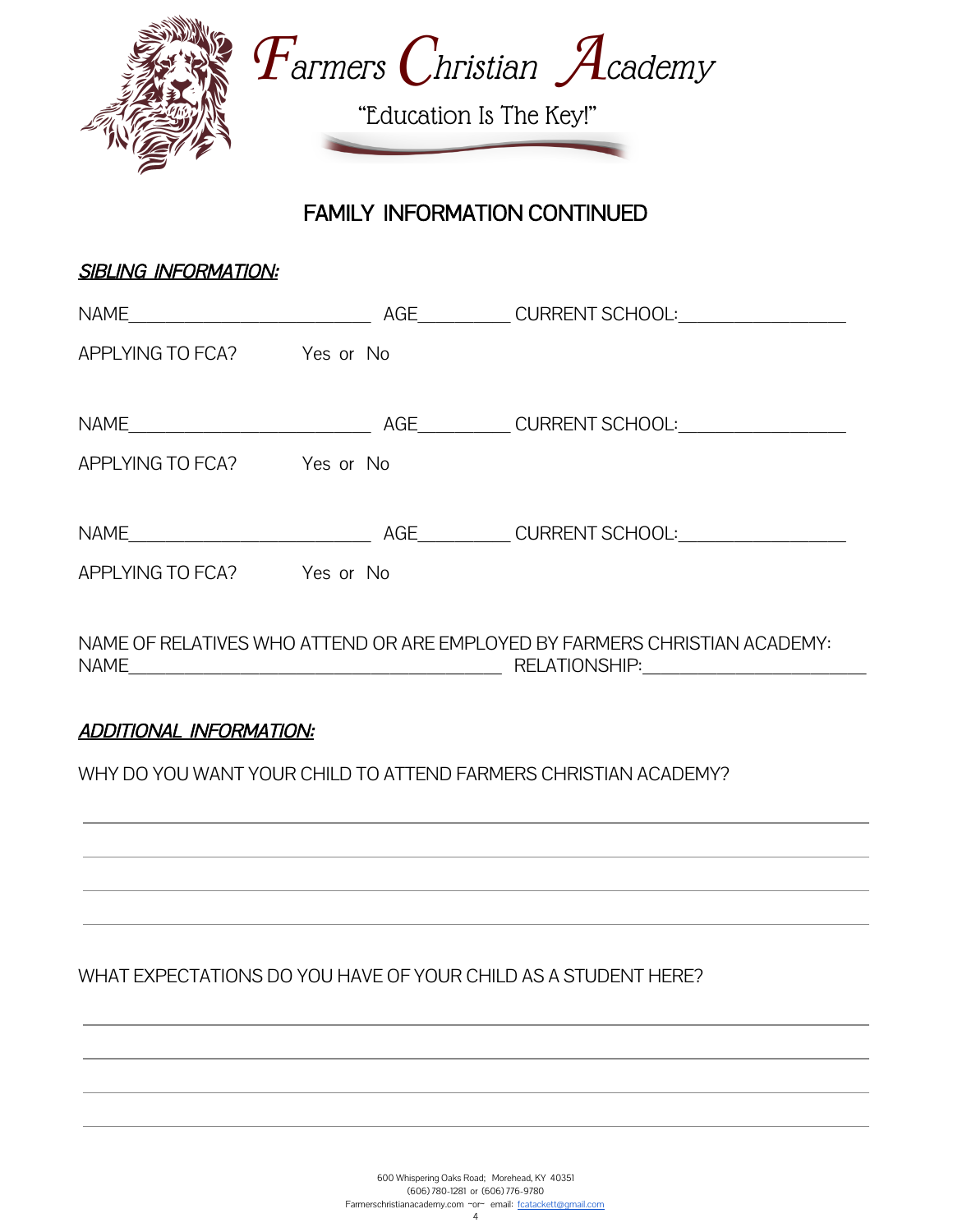

FAMILY INFORMATION CONTINUED

| <b>SIBLING INFORMATION:</b>    |                                                                            |
|--------------------------------|----------------------------------------------------------------------------|
|                                |                                                                            |
| APPLYING TO FCA? Yes or No     |                                                                            |
| APPLYING TO FCA? Yes or No     |                                                                            |
|                                |                                                                            |
| APPLYING TO FCA? Yes or No     |                                                                            |
|                                | NAME OF RELATIVES WHO ATTEND OR ARE EMPLOYED BY FARMERS CHRISTIAN ACADEMY: |
| <b>ADDITIONAL INFORMATION:</b> |                                                                            |

WHY DO YOU WANT YOUR CHILD TO ATTEND FARMERS CHRISTIAN ACADEMY?

WHAT EXPECTATIONS DO YOU HAVE OF YOUR CHILD AS A STUDENT HERE?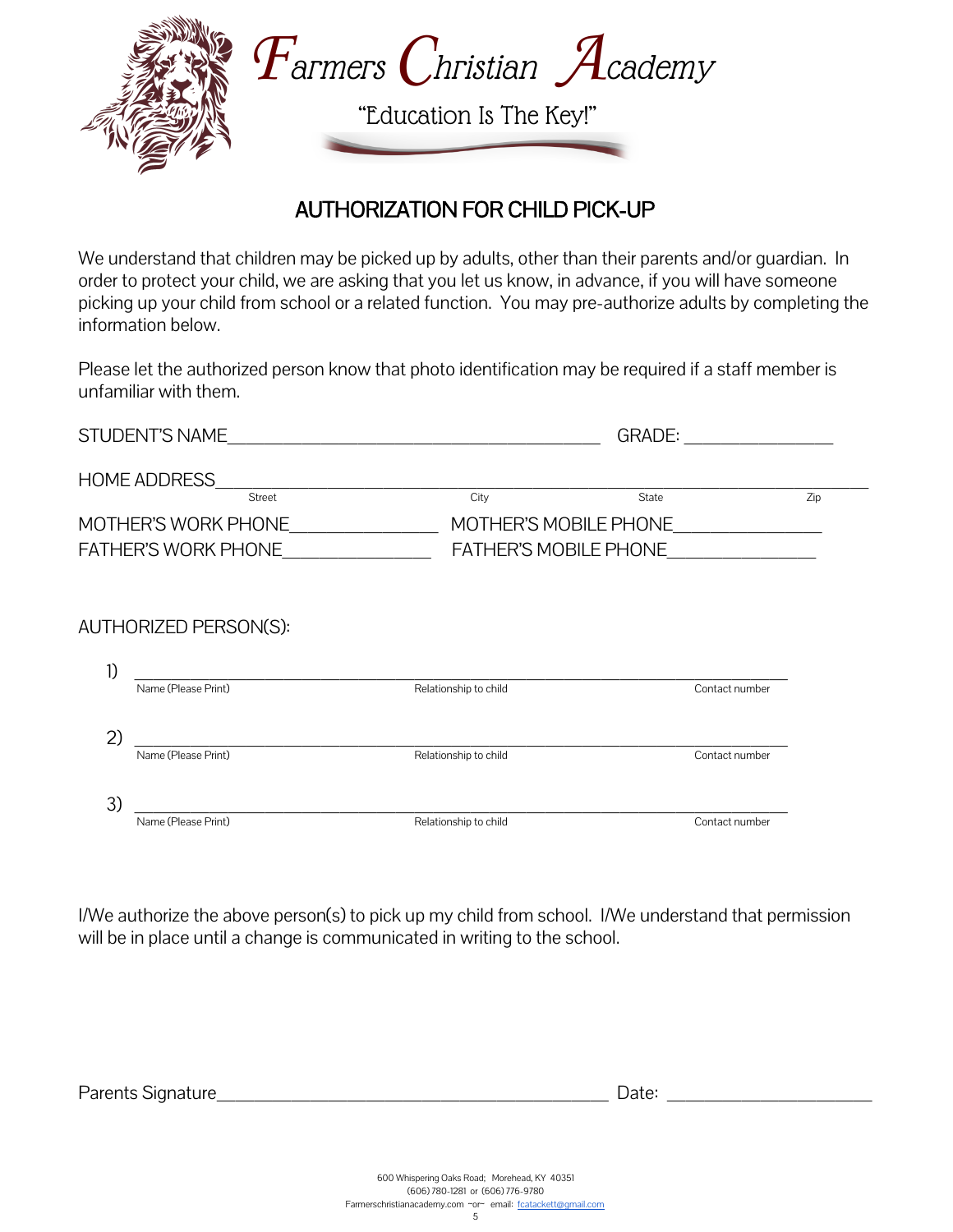

#### AUTHORIZATION FOR CHILD PICK-UP

 $\mathbf{r}$ We understand that children may be picked up by adults, other than their parents and/or guardian. In order to protect your child, we are asking that you let us know, in advance, if you will have someone picking up your child from school or a related function. You may pre-authorize adults by completing the information below.

Please let the authorized person know that photo identification may be required if a staff member is unfamiliar with them.

|              | STUDENT'S NAME               | <b>GRADE:</b>                |                |     |
|--------------|------------------------------|------------------------------|----------------|-----|
|              | <b>HOME ADDRESS</b>          |                              |                |     |
|              | <b>Street</b>                | City                         | State          | Zip |
|              | MOTHER'S WORK PHONE          | MOTHER'S MOBILE PHONE        |                |     |
|              | <b>FATHER'S WORK PHONE</b>   | <b>FATHER'S MOBILE PHONE</b> |                |     |
|              | <b>AUTHORIZED PERSON(S):</b> |                              |                |     |
| 1)           |                              |                              |                |     |
|              | Name (Please Print)          | Relationship to child        | Contact number |     |
| $\mathbf{2}$ |                              |                              |                |     |
|              | Name (Please Print)          | Relationship to child        | Contact number |     |
| 3)           |                              |                              |                |     |

I/We authorize the above person(s) to pick up my child from school. I/We understand that permission will be in place until a change is communicated in writing to the school.

Name (Please Print) and Contact number of Relationship to child Contact number of Contact number

Parents Signature\_\_\_\_\_\_\_\_\_\_\_\_\_\_\_\_\_\_\_\_\_ Date: \_\_\_\_\_\_\_\_\_\_\_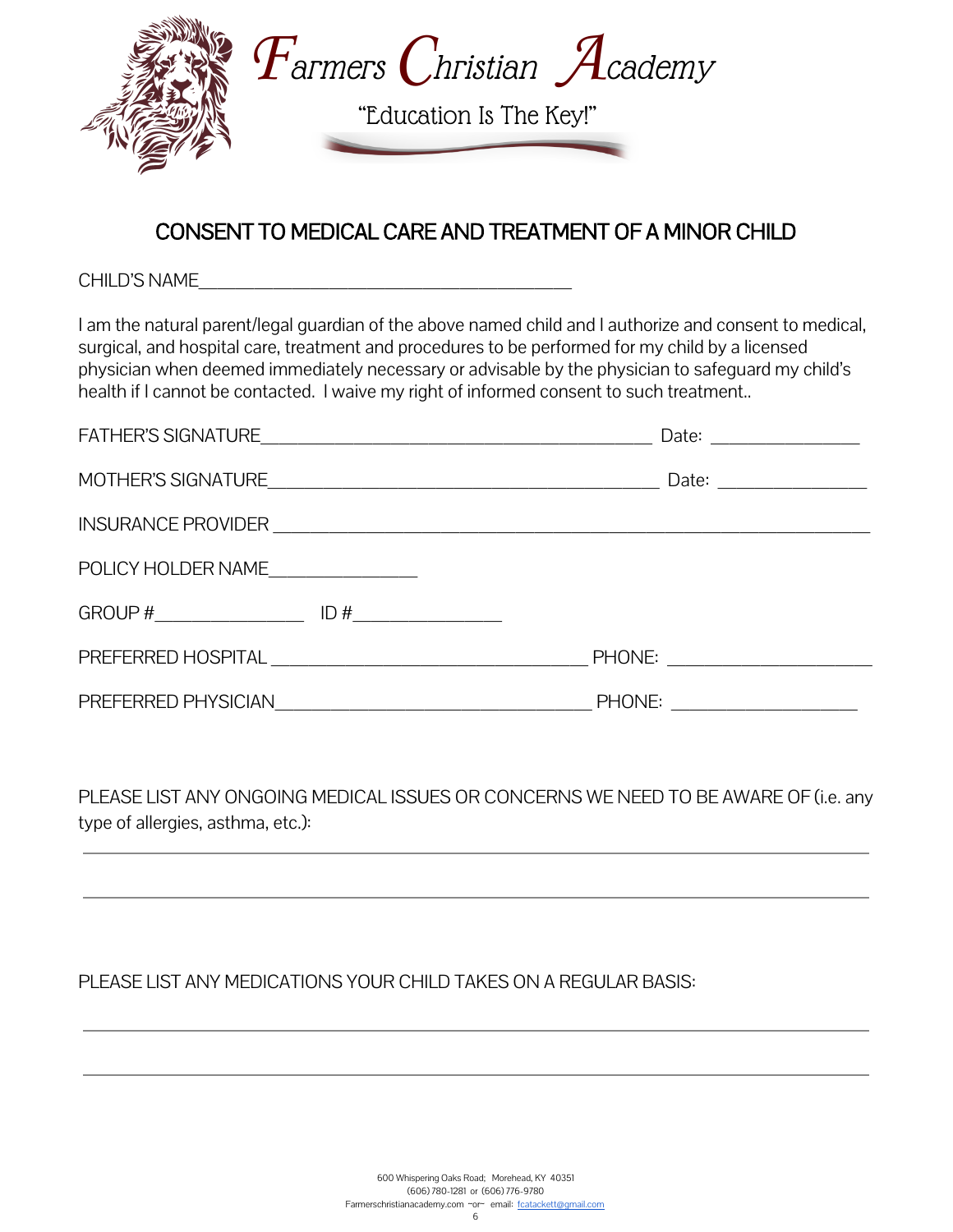

#### CONSENT TO MEDICAL CARE AND TREATMENT OF A MINOR CHILD

CHILD'S NAME\_\_\_\_\_\_\_\_\_\_\_\_\_\_\_\_\_\_\_\_

I am the natural parent/legal guardian of the above named child and I authorize and consent to medical, surgical, and hospital care, treatment and procedures to be performed for my child by a licensed physician when deemed immediately necessary or advisable by the physician to safeguard my child's health if I cannot be contacted. I waive my right of informed consent to such treatment..

|                    |                      | Date: $\frac{1}{\sqrt{1-\frac{1}{2}}}\frac{1}{\sqrt{1-\frac{1}{2}}}\frac{1}{\sqrt{1-\frac{1}{2}}}\frac{1}{\sqrt{1-\frac{1}{2}}}\frac{1}{\sqrt{1-\frac{1}{2}}}\frac{1}{\sqrt{1-\frac{1}{2}}}\frac{1}{\sqrt{1-\frac{1}{2}}}\frac{1}{\sqrt{1-\frac{1}{2}}}\frac{1}{\sqrt{1-\frac{1}{2}}}\frac{1}{\sqrt{1-\frac{1}{2}}}\frac{1}{\sqrt{1-\frac{1}{2}}}\frac{1}{\sqrt{1-\frac{1}{2}}}\frac{1}{\sqrt{1-\frac{1}{2}}}\frac{1}{\$ |
|--------------------|----------------------|--------------------------------------------------------------------------------------------------------------------------------------------------------------------------------------------------------------------------------------------------------------------------------------------------------------------------------------------------------------------------------------------------------------------------|
|                    |                      | Date: $\frac{1}{\sqrt{1-\frac{1}{2}}}\frac{1}{\sqrt{1-\frac{1}{2}}}\frac{1}{\sqrt{1-\frac{1}{2}}}\frac{1}{\sqrt{1-\frac{1}{2}}}\frac{1}{\sqrt{1-\frac{1}{2}}}\frac{1}{\sqrt{1-\frac{1}{2}}}\frac{1}{\sqrt{1-\frac{1}{2}}}\frac{1}{\sqrt{1-\frac{1}{2}}}\frac{1}{\sqrt{1-\frac{1}{2}}}\frac{1}{\sqrt{1-\frac{1}{2}}}\frac{1}{\sqrt{1-\frac{1}{2}}}\frac{1}{\sqrt{1-\frac{1}{2}}}\frac{1}{\sqrt{1-\frac{1}{2}}}\frac{1}{\$ |
|                    |                      |                                                                                                                                                                                                                                                                                                                                                                                                                          |
| POLICY HOLDER NAME |                      |                                                                                                                                                                                                                                                                                                                                                                                                                          |
|                    | $ID#$ ______________ |                                                                                                                                                                                                                                                                                                                                                                                                                          |
|                    |                      | PHONE: ______________________                                                                                                                                                                                                                                                                                                                                                                                            |
|                    |                      | PHONE: _____________________                                                                                                                                                                                                                                                                                                                                                                                             |

PLEASE LIST ANY ONGOING MEDICAL ISSUES OR CONCERNS WE NEED TO BE AWARE OF (i.e. any type of allergies, asthma, etc.):

#### PLEASE LIST ANY MEDICATIONS YOUR CHILD TAKES ON A REGULAR BASIS: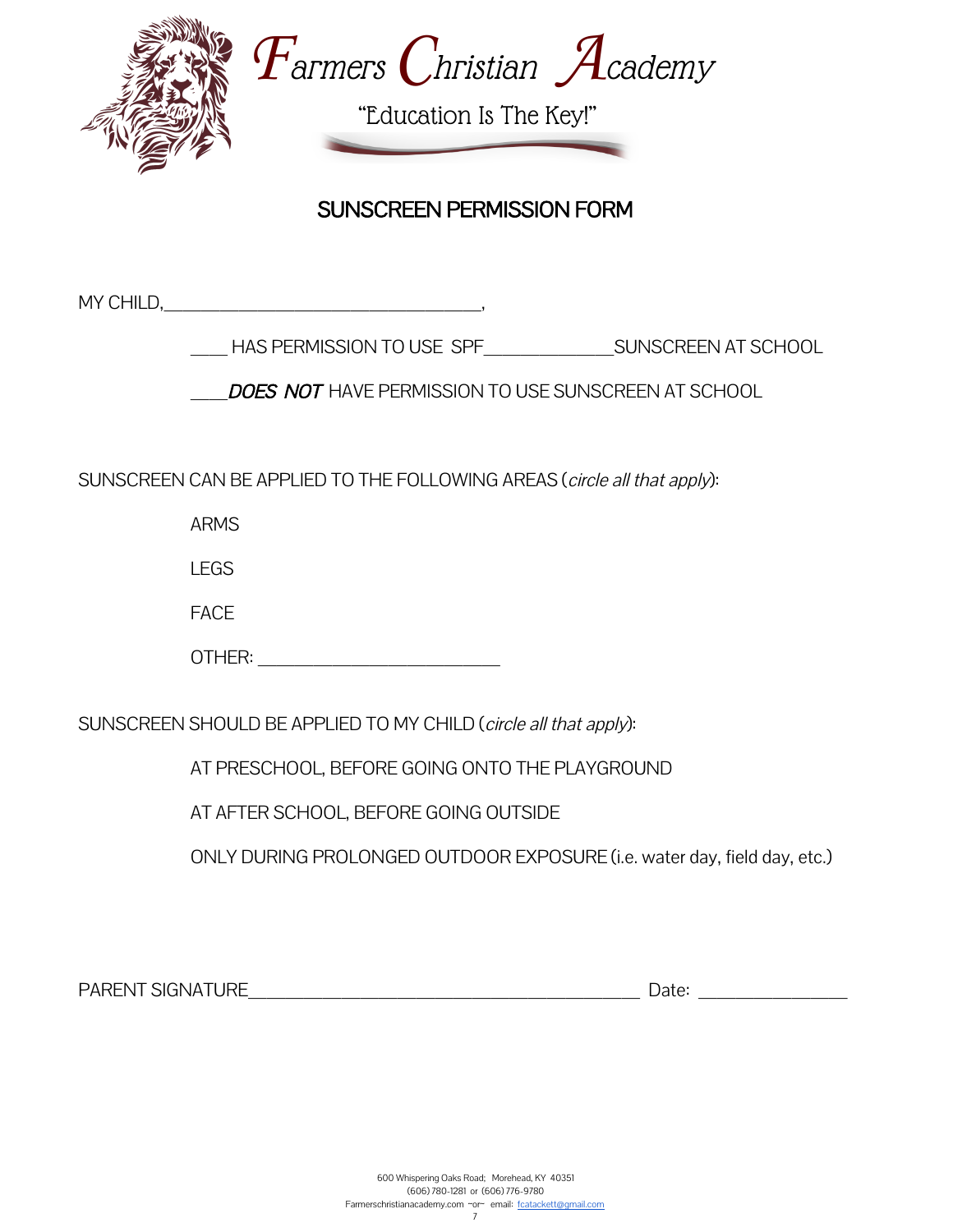

#### SUNSCREEN PERMISSION FORM

MY CHILD,

HAS PERMISSION TO USE SPF SUNSCREEN AT SCHOOL

DOES NOT HAVE PERMISSION TO USE SUNSCREEN AT SCHOOL

SUNSCREEN CAN BE APPLIED TO THE FOLLOWING AREAS (circle all that apply):

ARMS

LEGS

FACE

SUNSCREEN SHOULD BE APPLIED TO MY CHILD (circle all that apply):

AT PRESCHOOL, BEFORE GOING ONTO THE PLAYGROUND

AT AFTER SCHOOL, BEFORE GOING OUTSIDE

ONLY DURING PROLONGED OUTDOOR EXPOSURE (i.e. water day, field day, etc.)

PARENT SIGNATURE\_\_\_\_\_\_\_\_\_\_\_\_\_\_\_\_\_\_\_\_\_ Date: \_\_\_\_\_\_\_\_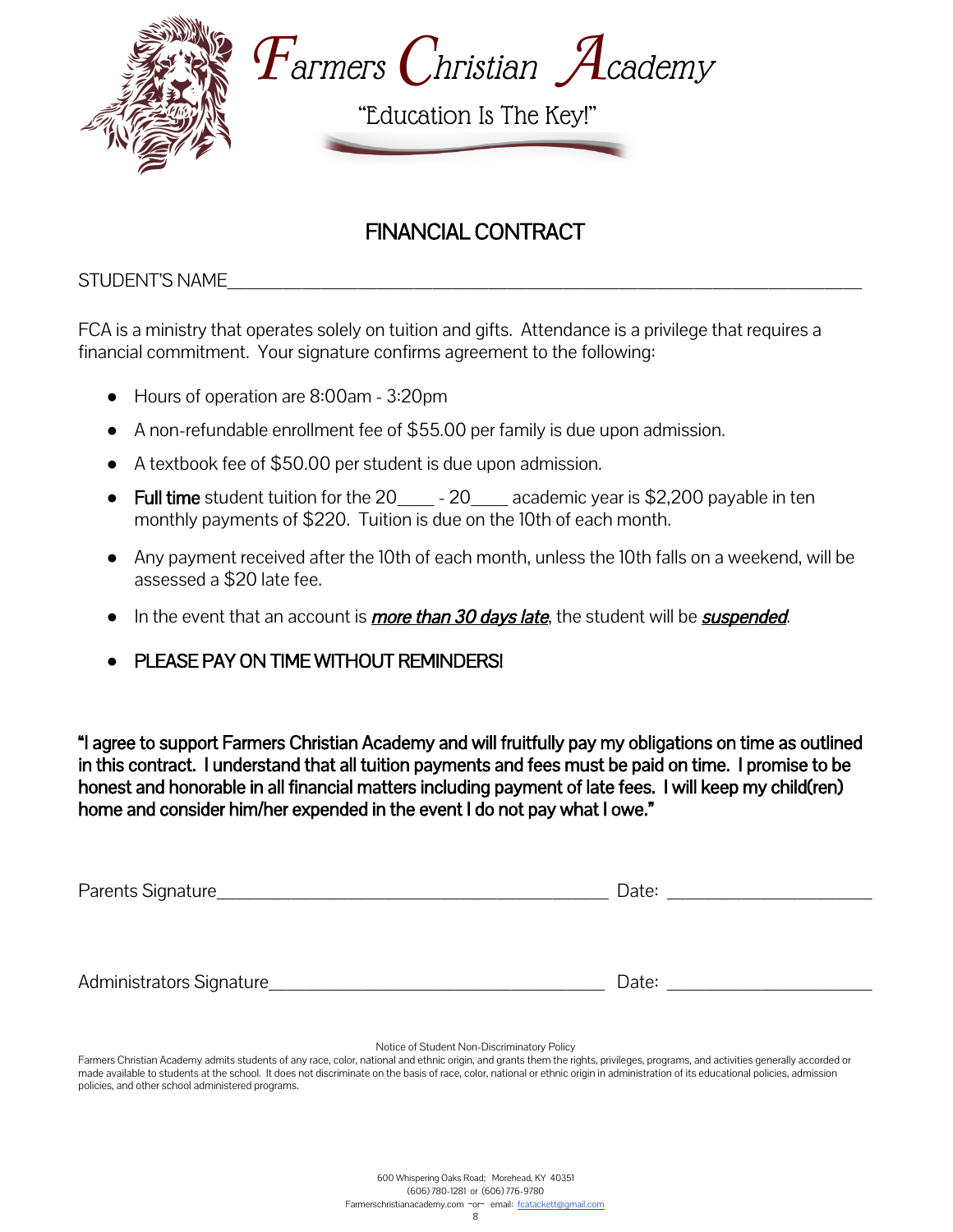

## FINANCIAL CONTRACT

STUDENT'S NAME

FCA is a ministry that operates solely on tuition and gifts. Attendance is a privilege that requires a financial commitment. Your signature confirms agreement to the following:

- Hours of operation are 8:00am 3:20pm
- A non-refundable enrollment fee of \$55.00 per family is due upon admission.
- A textbook fee of \$50.00 per student is due upon admission.
- Full time student tuition for the 20  $-20$  academic year is \$2,200 payable in ten monthly payments of \$220. Tuition is due on the 10th of each month.
- Any payment received after the 10th of each month, unless the 10th falls on a weekend, will be assessed a \$20 late fee.
- In the event that an account is *more than 30 days late*, the student will be *suspended*.
- **PLEASE PAY ON TIME WITHOUT REMINDERS!**

"I agree to support Farmers Christian Academy and will fruitfully pay my obligations on time as outlined in this contract. I understand that all tuition payments and fees must be paid on time. I promise to be honest and honorable in all financial matters including payment of late fees. I will keep my child(ren) home and consider him/her expended in the event I do not pay what I owe."

| Parents Signature_       | Date: |
|--------------------------|-------|
| Administrators Signature | Date: |

Notice of Student Non-Discriminatory Policy

Farmers Christian Academy admits students of any race, color, national and ethnic origin, and grants them the rights, privileges, programs, and activities generally accorded or made available to students at the school. It does not discriminate on the basis of race, color, national or ethnic origin in administration of its educational policies, admission policies, and other school administered programs.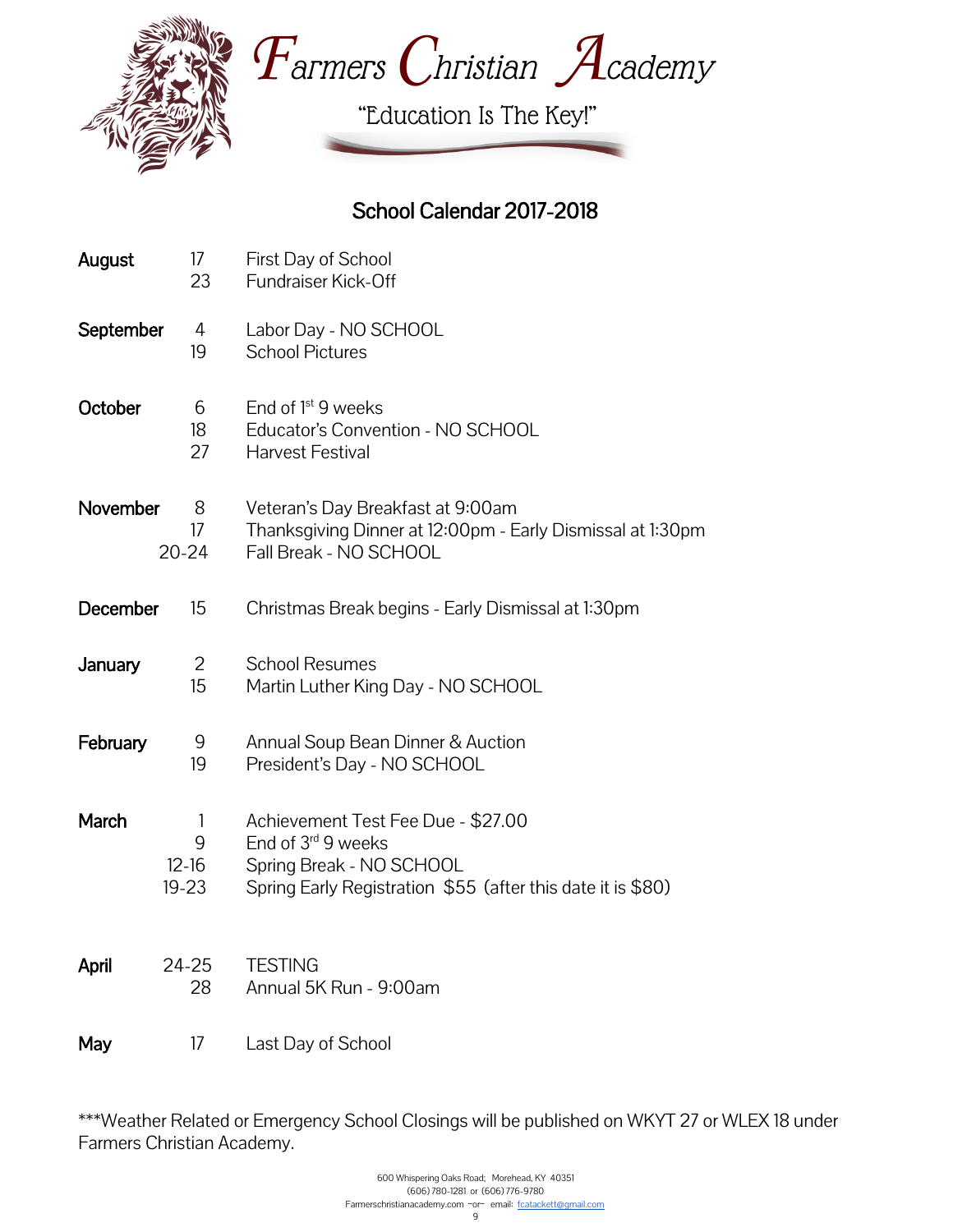



"Education Is The Key!"

## School Calendar 2017-2018

| August    | 17<br>23                       | First Day of School<br><b>Fundraiser Kick-Off</b>                                                                                                   |
|-----------|--------------------------------|-----------------------------------------------------------------------------------------------------------------------------------------------------|
| September | 4<br>19                        | Labor Day - NO SCHOOL<br><b>School Pictures</b>                                                                                                     |
| October   | 6<br>18<br>27                  | End of $1st$ 9 weeks<br>Educator's Convention - NO SCHOOL<br><b>Harvest Festival</b>                                                                |
| November  | 8<br>17<br>$20 - 24$           | Veteran's Day Breakfast at 9:00am<br>Thanksgiving Dinner at 12:00pm - Early Dismissal at 1:30pm<br>Fall Break - NO SCHOOL                           |
| December  | 15                             | Christmas Break begins - Early Dismissal at 1:30pm                                                                                                  |
| January   | $\overline{2}$<br>15           | <b>School Resumes</b><br>Martin Luther King Day - NO SCHOOL                                                                                         |
| February  | 9<br>19                        | Annual Soup Bean Dinner & Auction<br>President's Day - NO SCHOOL                                                                                    |
| March     | 1<br>9<br>$12-16$<br>$19 - 23$ | Achievement Test Fee Due - \$27.00<br>End of 3rd 9 weeks<br>Spring Break - NO SCHOOL<br>Spring Early Registration \$55 (after this date it is \$80) |
| April     | 24-25<br>28                    | <b>TESTING</b><br>Annual 5K Run - 9:00am                                                                                                            |
| May       | 17                             | Last Day of School                                                                                                                                  |

\*\*\*Weather Related or Emergency School Closings will be published on WKYT 27 or WLEX 18 under Farmers Christian Academy.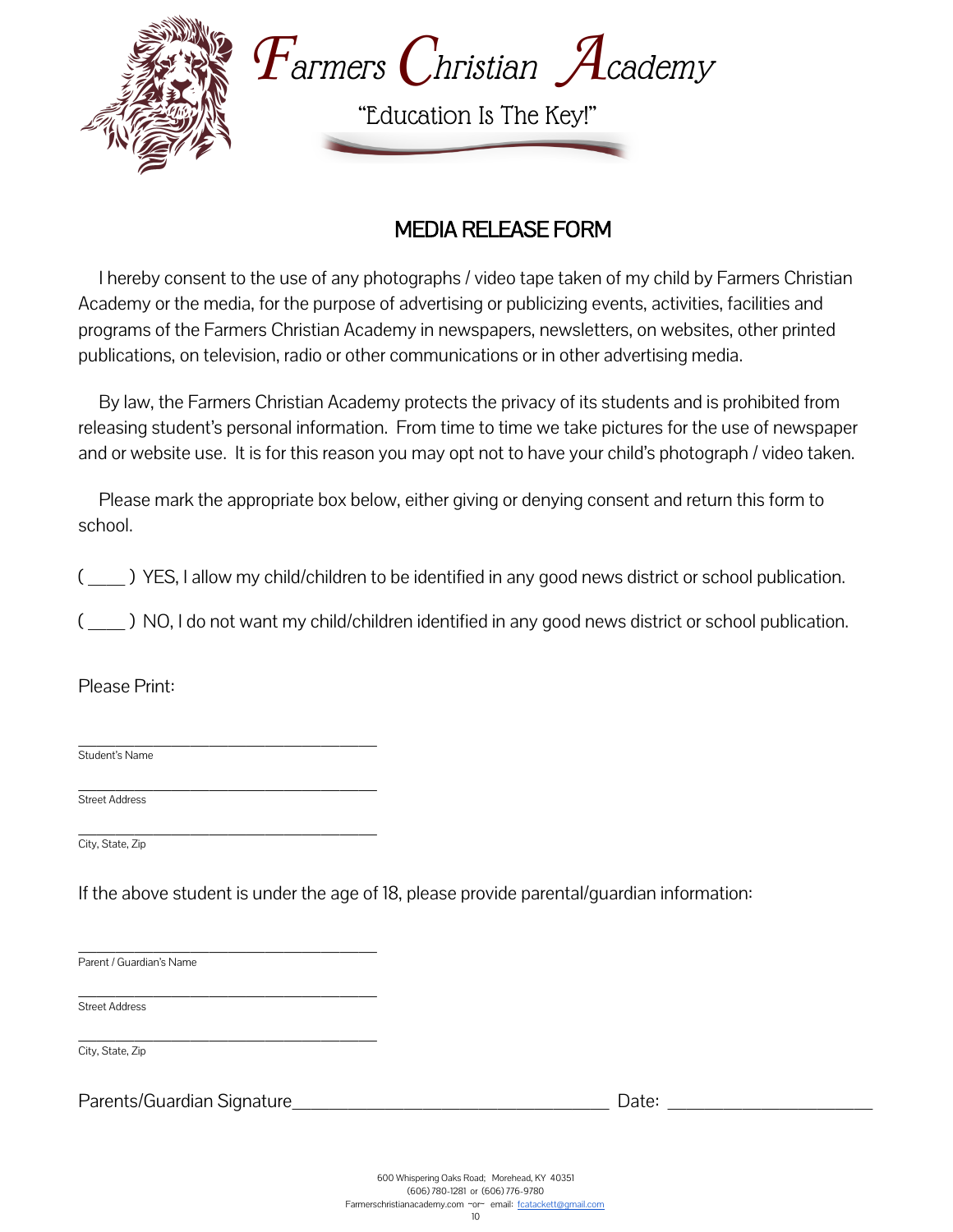

#### MEDIA RELEASE FORM

 I hereby consent to the use of any photographs / video tape taken of my child by Farmers Christian Academy or the media, for the purpose of advertising or publicizing events, activities, facilities and programs of the Farmers Christian Academy in newspapers, newsletters, on websites, other printed publications, on television, radio or other communications or in other advertising media.

 By law, the Farmers Christian Academy protects the privacy of its students and is prohibited from releasing student's personal information. From time to time we take pictures for the use of newspaper and or website use. It is for this reason you may opt not to have your child's photograph / video taken.

 Please mark the appropriate box below, either giving or denying consent and return this form to school.

(  $\Box$ ) YES, I allow my child/children to be identified in any good news district or school publication.

(  $\Box$ ) NO, I do not want my child/children identified in any good news district or school publication.

Please Print:

 $\overline{\phantom{a}}$  , where  $\overline{\phantom{a}}$  , where  $\overline{\phantom{a}}$  , where  $\overline{\phantom{a}}$  , where  $\overline{\phantom{a}}$ Student's Name

 $\overline{\phantom{a}}$  , where  $\overline{\phantom{a}}$  , where  $\overline{\phantom{a}}$  , where  $\overline{\phantom{a}}$  , where  $\overline{\phantom{a}}$ Street Address

 $\overline{\phantom{a}}$  , where  $\overline{\phantom{a}}$  , where  $\overline{\phantom{a}}$  , where  $\overline{\phantom{a}}$  , where  $\overline{\phantom{a}}$ City, State, Zip

If the above student is under the age of 18, please provide parental/guardian information:

 $\overline{\phantom{a}}$  , where  $\overline{\phantom{a}}$  , where  $\overline{\phantom{a}}$  , where  $\overline{\phantom{a}}$  , where  $\overline{\phantom{a}}$ Parent / Guardian's Name

 $\overline{\phantom{a}}$  , where  $\overline{\phantom{a}}$  , where  $\overline{\phantom{a}}$  , where  $\overline{\phantom{a}}$  , where  $\overline{\phantom{a}}$ Street Address

 $\overline{\phantom{a}}$  , where  $\overline{\phantom{a}}$  , where  $\overline{\phantom{a}}$  , where  $\overline{\phantom{a}}$  , where  $\overline{\phantom{a}}$ City, State, Zip

Parents/Guardian Signature\_\_\_\_\_\_\_\_\_\_\_\_\_\_\_\_\_ Date: \_\_\_\_\_\_\_\_\_\_\_